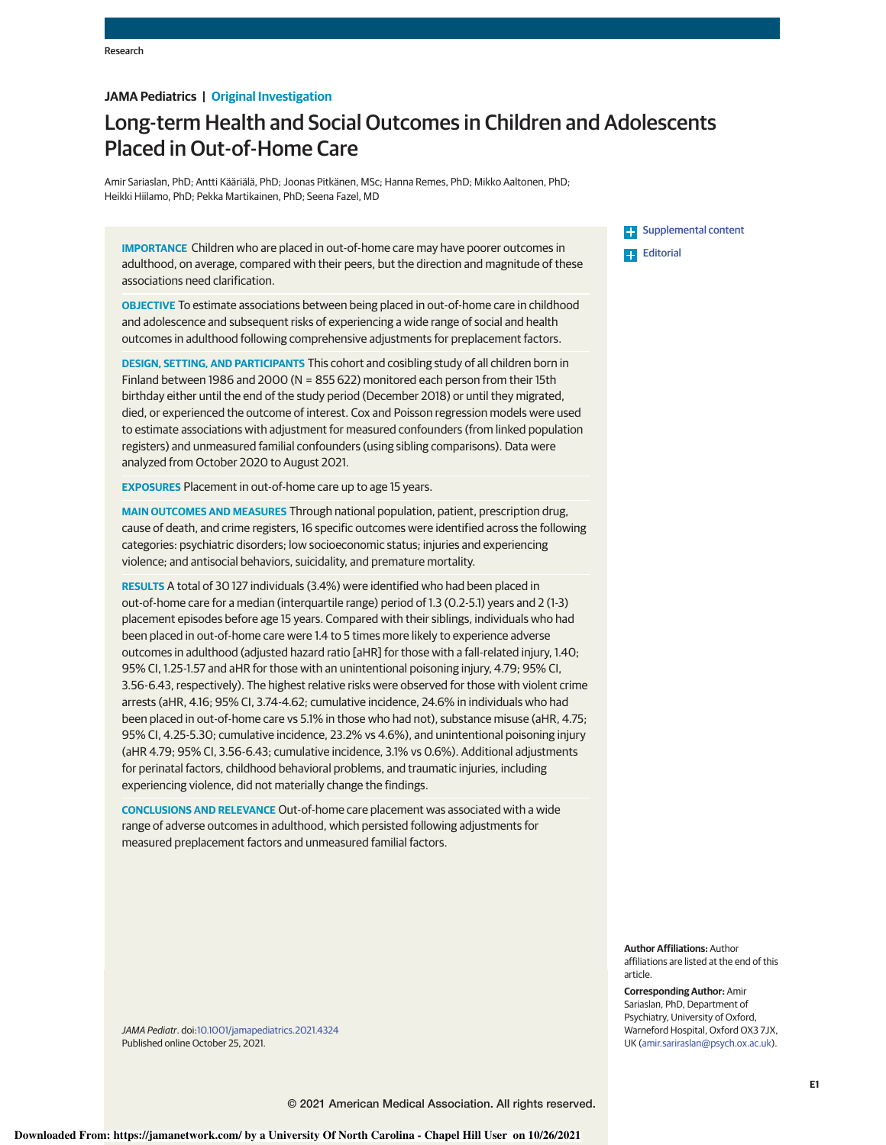# **JAMA Pediatrics | Original Investigation**

# Long-term Health and Social Outcomes in Children and Adolescents Placed in Out-of-Home Care

Amir Sariaslan, PhD; Antti Kääriälä, PhD; Joonas Pitkänen, MSc; Hanna Remes, PhD; Mikko Aaltonen, PhD; Heikki Hiilamo, PhD; Pekka Martikainen, PhD; Seena Fazel, MD

**IMPORTANCE** Children who are placed in out-of-home care may have poorer outcomes in adulthood, on average, compared with their peers, but the direction and magnitude of these associations need clarification.

**OBJECTIVE** To estimate associations between being placed in out-of-home care in childhood and adolescence and subsequent risks of experiencing a wide range of social and health outcomes in adulthood following comprehensive adjustments for preplacement factors.

**DESIGN, SETTING, AND PARTICIPANTS** This cohort and cosibling study of all children born in Finland between 1986 and 2000 (N = 855 622) monitored each person from their 15th birthday either until the end of the study period (December 2018) or until they migrated, died, or experienced the outcome of interest. Cox and Poisson regression models were used to estimate associations with adjustment for measured confounders (from linked population registers) and unmeasured familial confounders (using sibling comparisons). Data were analyzed from October 2020 to August 2021.

**EXPOSURES** Placement in out-of-home care up to age 15 years.

**MAIN OUTCOMES AND MEASURES** Through national population, patient, prescription drug, cause of death, and crime registers, 16 specific outcomes were identified across the following categories: psychiatric disorders; low socioeconomic status; injuries and experiencing violence; and antisocial behaviors, suicidality, and premature mortality.

**RESULTS** A total of 30 127 individuals (3.4%) were identified who had been placed in out-of-home care for a median (interquartile range) period of 1.3 (0.2-5.1) years and 2 (1-3) placement episodes before age 15 years. Compared with their siblings, individuals who had been placed in out-of-home care were 1.4 to 5 times more likely to experience adverse outcomes in adulthood (adjusted hazard ratio [aHR] for those with a fall-related injury, 1.40; 95% CI, 1.25-1.57 and aHR for those with an unintentional poisoning injury, 4.79; 95% CI, 3.56-6.43, respectively). The highest relative risks were observed for those with violent crime arrests (aHR, 4.16; 95% CI, 3.74-4.62; cumulative incidence, 24.6% in individuals who had been placed in out-of-home care vs 5.1% in those who had not), substance misuse (aHR, 4.75; 95% CI, 4.25-5.30; cumulative incidence, 23.2% vs 4.6%), and unintentional poisoning injury (aHR 4.79; 95% CI, 3.56-6.43; cumulative incidence, 3.1% vs 0.6%). Additional adjustments for perinatal factors, childhood behavioral problems, and traumatic injuries, including experiencing violence, did not materially change the findings.

**CONCLUSIONS AND RELEVANCE** Out-of-home care placement was associated with a wide range of adverse outcomes in adulthood, which persisted following adjustments for measured preplacement factors and unmeasured familial factors.

**E-** Supplemental content **Editorial** 

**Author Affiliations:** Author affiliations are listed at the end of this article.

**Corresponding Author:** Amir Sariaslan, PhD, Department of Psychiatry, University of Oxford, Warneford Hospital, Oxford OX3 7JX, UK (amir.sariraslan@psych.ox.ac.uk).

JAMA Pediatr. doi:10.1001/jamapediatrics.2021.4324 Published online October 25, 2021.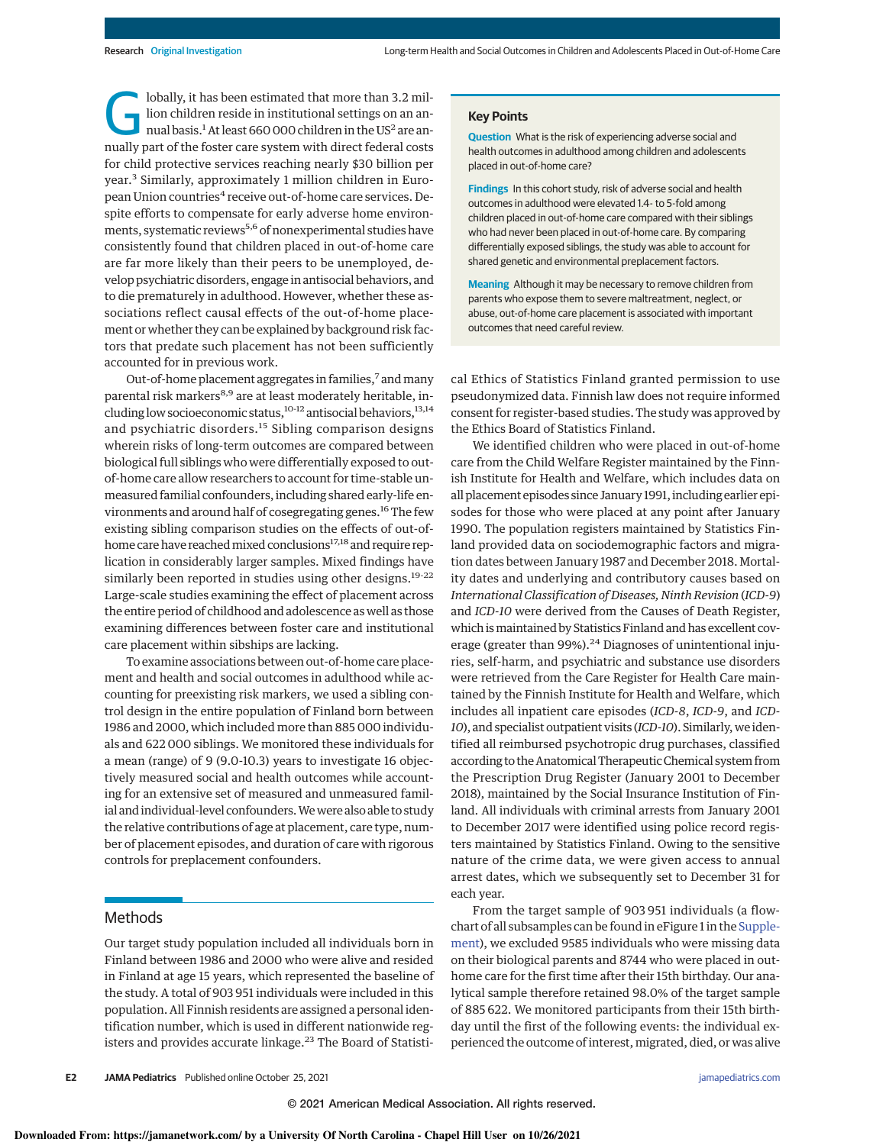G lobally, it has been estimated that more than 3.2 million children reside in institutional settings on an annual basis.<sup>1</sup> At least 660 000 children in the US<sup>2</sup> are annually part of the foster care system with direct federal costs for child protective services reaching nearly \$30 billion per year.<sup>3</sup> Similarly, approximately 1 million children in European Union countries<sup>4</sup> receive out-of-home care services. Despite efforts to compensate for early adverse home environments, systematic reviews<sup>5,6</sup> of nonexperimental studies have consistently found that children placed in out-of-home care are far more likely than their peers to be unemployed, develop psychiatric disorders, engage in antisocial behaviors, and to die prematurely in adulthood. However, whether these associations reflect causal effects of the out-of-home placement or whether they can be explained by background risk factors that predate such placement has not been sufficiently accounted for in previous work.

Out-of-home placement aggregates in families,<sup>7</sup> and many parental risk markers<sup>8,9</sup> are at least moderately heritable, including low socioeconomic status, $10-12$  antisocial behaviors, $13,14$ and psychiatric disorders.<sup>15</sup> Sibling comparison designs wherein risks of long-term outcomes are compared between biological full siblings who were differentially exposed to outof-home care allow researchers to account for time-stable unmeasured familial confounders, including shared early-life environments and around half of cosegregating genes.<sup>16</sup> The few existing sibling comparison studies on the effects of out-ofhome care have reached mixed conclusions<sup>17,18</sup> and require replication in considerably larger samples. Mixed findings have similarly been reported in studies using other designs.<sup>19-22</sup> Large-scale studies examining the effect of placement across the entire period of childhood and adolescence as well as those examining differences between foster care and institutional care placement within sibships are lacking.

To examine associations between out-of-home care placement and health and social outcomes in adulthood while accounting for preexisting risk markers, we used a sibling control design in the entire population of Finland born between 1986 and 2000, which included more than 885 000 individuals and 622 000 siblings. We monitored these individuals for a mean (range) of 9 (9.0-10.3) years to investigate 16 objectively measured social and health outcomes while accounting for an extensive set of measured and unmeasured familial and individual-level confounders.Wewere also able to study the relative contributions of age at placement, care type, number of placement episodes, and duration of care with rigorous controls for preplacement confounders.

### Methods

Our target study population included all individuals born in Finland between 1986 and 2000 who were alive and resided in Finland at age 15 years, which represented the baseline of the study. A total of 903 951 individuals were included in this population. All Finnish residents are assigned a personal identification number, which is used in different nationwide registers and provides accurate linkage.<sup>23</sup> The Board of Statisti-

#### **Key Points**

**Question** What is the risk of experiencing adverse social and health outcomes in adulthood among children and adolescents placed in out-of-home care?

**Findings** In this cohort study, risk of adverse social and health outcomes in adulthood were elevated 1.4- to 5-fold among children placed in out-of-home care compared with their siblings who had never been placed in out-of-home care. By comparing differentially exposed siblings, the study was able to account for shared genetic and environmental preplacement factors.

**Meaning** Although it may be necessary to remove children from parents who expose them to severe maltreatment, neglect, or abuse, out-of-home care placement is associated with important outcomes that need careful review.

cal Ethics of Statistics Finland granted permission to use pseudonymized data. Finnish law does not require informed consent for register-based studies. The study was approved by the Ethics Board of Statistics Finland.

We identified children who were placed in out-of-home care from the Child Welfare Register maintained by the Finnish Institute for Health and Welfare, which includes data on all placement episodes since January 1991, including earlier episodes for those who were placed at any point after January 1990. The population registers maintained by Statistics Finland provided data on sociodemographic factors and migration dates between January 1987 and December 2018. Mortality dates and underlying and contributory causes based on International Classification of Diseases, Ninth Revision (ICD-9) and ICD-10 were derived from the Causes of Death Register, which is maintained by Statistics Finland and has excellent coverage (greater than 99%).<sup>24</sup> Diagnoses of unintentional injuries, self-harm, and psychiatric and substance use disorders were retrieved from the Care Register for Health Care maintained by the Finnish Institute for Health and Welfare, which includes all inpatient care episodes (ICD-8, ICD-9, and ICD-10), and specialist outpatient visits (ICD-10). Similarly, we identified all reimbursed psychotropic drug purchases, classified according to the Anatomical Therapeutic Chemical system from the Prescription Drug Register (January 2001 to December 2018), maintained by the Social Insurance Institution of Finland. All individuals with criminal arrests from January 2001 to December 2017 were identified using police record registers maintained by Statistics Finland. Owing to the sensitive nature of the crime data, we were given access to annual arrest dates, which we subsequently set to December 31 for each year.

From the target sample of 903 951 individuals (a flowchart of all subsamples can be found in eFigure 1 in the Supplement), we excluded 9585 individuals who were missing data on their biological parents and 8744 who were placed in outhome care for the first time after their 15th birthday. Our analytical sample therefore retained 98.0% of the target sample of 885 622. We monitored participants from their 15th birthday until the first of the following events: the individual experienced the outcome of interest, migrated, died, or was alive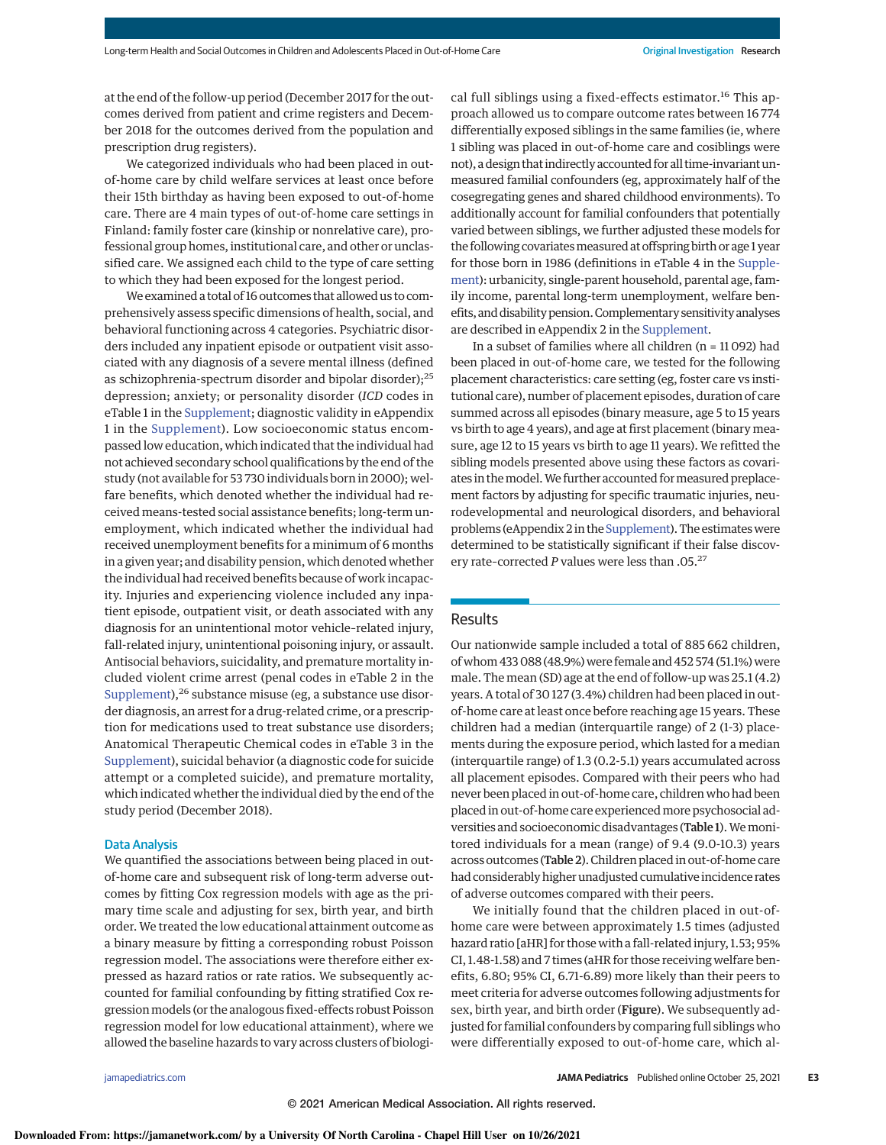at the end of the follow-up period (December 2017 for the outcomes derived from patient and crime registers and December 2018 for the outcomes derived from the population and prescription drug registers).

We categorized individuals who had been placed in outof-home care by child welfare services at least once before their 15th birthday as having been exposed to out-of-home care. There are 4 main types of out-of-home care settings in Finland: family foster care (kinship or nonrelative care), professional group homes, institutional care, and other or unclassified care. We assigned each child to the type of care setting to which they had been exposed for the longest period.

We examined a total of 16 outcomes that allowed us to comprehensively assess specific dimensions of health, social, and behavioral functioning across 4 categories. Psychiatric disorders included any inpatient episode or outpatient visit associated with any diagnosis of a severe mental illness (defined as schizophrenia-spectrum disorder and bipolar disorder);<sup>25</sup> depression; anxiety; or personality disorder (ICD codes in eTable 1 in the Supplement; diagnostic validity in eAppendix 1 in the Supplement). Low socioeconomic status encompassed low education, which indicated that the individual had not achieved secondary school qualifications by the end of the study (not available for 53 730 individuals born in 2000); welfare benefits, which denoted whether the individual had received means-tested social assistance benefits; long-term unemployment, which indicated whether the individual had received unemployment benefits for a minimum of 6 months in a given year; and disability pension, which denoted whether the individual had received benefits because of work incapacity. Injuries and experiencing violence included any inpatient episode, outpatient visit, or death associated with any diagnosis for an unintentional motor vehicle–related injury, fall-related injury, unintentional poisoning injury, or assault. Antisocial behaviors, suicidality, and premature mortality included violent crime arrest (penal codes in eTable 2 in the Supplement),<sup>26</sup> substance misuse (eg, a substance use disorder diagnosis, an arrest for a drug-related crime, or a prescription for medications used to treat substance use disorders; Anatomical Therapeutic Chemical codes in eTable 3 in the Supplement), suicidal behavior (a diagnostic code for suicide attempt or a completed suicide), and premature mortality, which indicated whether the individual died by the end of the study period (December 2018).

#### Data Analysis

We quantified the associations between being placed in outof-home care and subsequent risk of long-term adverse outcomes by fitting Cox regression models with age as the primary time scale and adjusting for sex, birth year, and birth order. We treated the low educational attainment outcome as a binary measure by fitting a corresponding robust Poisson regression model. The associations were therefore either expressed as hazard ratios or rate ratios. We subsequently accounted for familial confounding by fitting stratified Cox regression models (or the analogous fixed-effects robust Poisson regression model for low educational attainment), where we allowed the baseline hazards to vary across clusters of biological full siblings using a fixed-effects estimator.<sup>16</sup> This approach allowed us to compare outcome rates between 16 774 differentially exposed siblings in the same families (ie, where 1 sibling was placed in out-of-home care and cosiblings were not), a design that indirectly accounted for all time-invariant unmeasured familial confounders (eg, approximately half of the cosegregating genes and shared childhood environments). To additionally account for familial confounders that potentially varied between siblings, we further adjusted these models for the following covariates measured at offspring birth or age 1 year for those born in 1986 (definitions in eTable 4 in the Supplement): urbanicity, single-parent household, parental age, family income, parental long-term unemployment, welfare benefits, and disability pension. Complementary sensitivity analyses are described in eAppendix 2 in the Supplement.

In a subset of families where all children ( $n = 11092$ ) had been placed in out-of-home care, we tested for the following placement characteristics: care setting (eg, foster care vs institutional care), number of placement episodes, duration of care summed across all episodes (binary measure, age 5 to 15 years vs birth to age 4 years), and age at first placement (binary measure, age 12 to 15 years vs birth to age 11 years). We refitted the sibling models presented above using these factors as covariates in themodel.We further accounted formeasured preplacement factors by adjusting for specific traumatic injuries, neurodevelopmental and neurological disorders, and behavioral problems (eAppendix 2 in the Supplement). The estimateswere determined to be statistically significant if their false discovery rate–corrected P values were less than .05.<sup>27</sup>

# Results

Our nationwide sample included a total of 885 662 children, of whom 433 088 (48.9%) were female and 452 574 (51.1%) were male. The mean (SD) age at the end of follow-up was 25.1 (4.2) years. A total of 30 127 (3.4%) children had been placed in outof-home care at least once before reaching age 15 years. These children had a median (interquartile range) of 2 (1-3) placements during the exposure period, which lasted for a median (interquartile range) of 1.3 (0.2-5.1) years accumulated across all placement episodes. Compared with their peers who had never been placed in out-of-home care, children who had been placed in out-of-home care experiencedmore psychosocial adversities and socioeconomic disadvantages (Table 1). We monitored individuals for a mean (range) of 9.4 (9.0-10.3) years across outcomes (Table 2). Children placed in out-of-home care had considerably higher unadjusted cumulative incidence rates of adverse outcomes compared with their peers.

We initially found that the children placed in out-ofhome care were between approximately 1.5 times (adjusted hazard ratio [aHR] for those with a fall-related injury, 1.53; 95% CI, 1.48-1.58) and 7 times (aHR for those receiving welfare benefits, 6.80; 95% CI, 6.71-6.89) more likely than their peers to meet criteria for adverse outcomes following adjustments for sex, birth year, and birth order (Figure). We subsequently adjusted for familial confounders by comparing full siblings who were differentially exposed to out-of-home care, which al-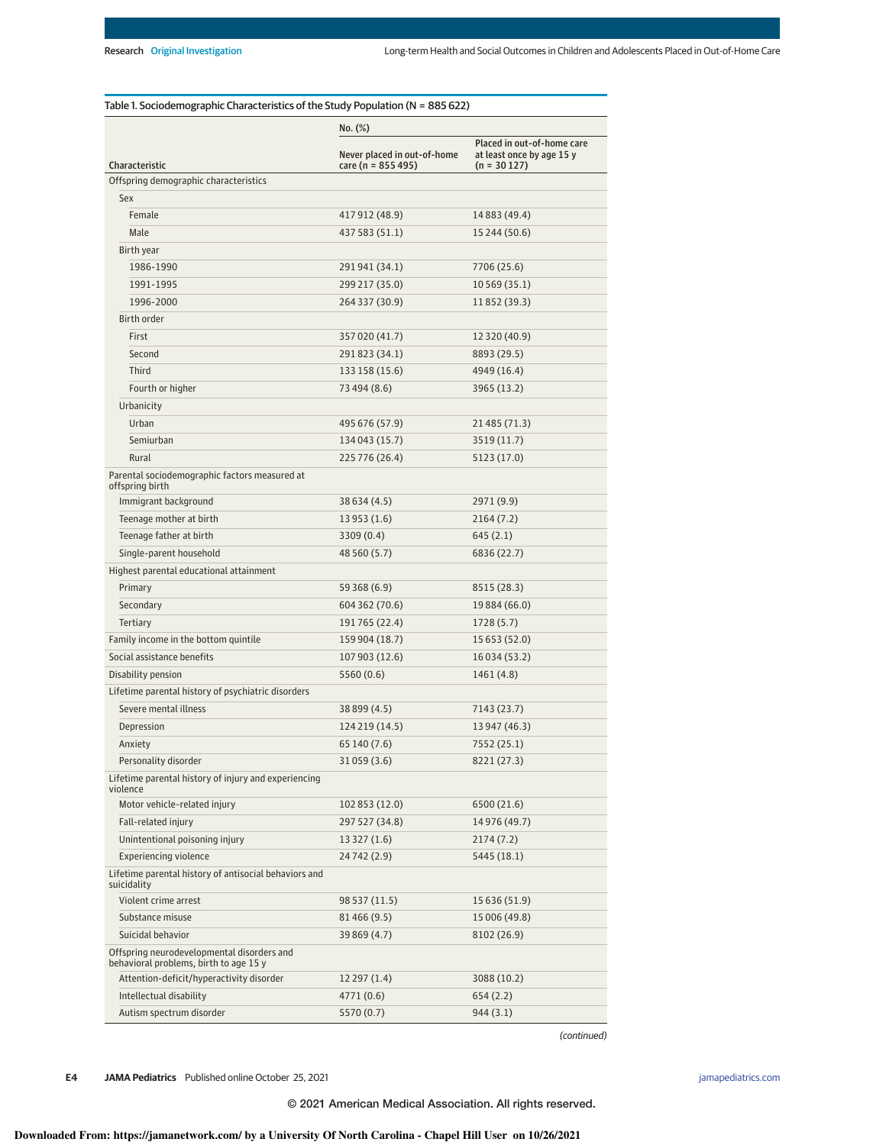|                                                                                      | No. (%)                                           |                                                                          |  |
|--------------------------------------------------------------------------------------|---------------------------------------------------|--------------------------------------------------------------------------|--|
| Characteristic                                                                       | Never placed in out-of-home<br>care (n = 855 495) | Placed in out-of-home care<br>at least once by age 15 y<br>$(n = 30127)$ |  |
| Offspring demographic characteristics                                                |                                                   |                                                                          |  |
| Sex                                                                                  |                                                   |                                                                          |  |
| Female                                                                               | 417 912 (48.9)                                    | 14 8 8 3 (49.4)                                                          |  |
| Male                                                                                 | 437 583 (51.1)                                    | 15 244 (50.6)                                                            |  |
| Birth year                                                                           |                                                   |                                                                          |  |
| 1986-1990                                                                            | 291941 (34.1)                                     | 7706 (25.6)                                                              |  |
| 1991-1995                                                                            | 299 217 (35.0)                                    | 10 569 (35.1)                                                            |  |
| 1996-2000                                                                            | 264 337 (30.9)                                    | 11852 (39.3)                                                             |  |
| Birth order                                                                          |                                                   |                                                                          |  |
| First                                                                                | 357 020 (41.7)                                    | 12 320 (40.9)                                                            |  |
| Second                                                                               | 291823 (34.1)                                     | 8893 (29.5)                                                              |  |
| Third                                                                                | 133 158 (15.6)                                    | 4949 (16.4)                                                              |  |
| Fourth or higher                                                                     | 73 494 (8.6)                                      | 3965 (13.2)                                                              |  |
| Urbanicity                                                                           |                                                   |                                                                          |  |
| Urban                                                                                | 495 676 (57.9)                                    | 21 485 (71.3)                                                            |  |
| Semiurban                                                                            | 134 043 (15.7)                                    | 3519 (11.7)                                                              |  |
| Rural                                                                                | 225 776 (26.4)                                    | 5123 (17.0)                                                              |  |
| Parental sociodemographic factors measured at<br>offspring birth                     |                                                   |                                                                          |  |
| Immigrant background                                                                 | 38 634 (4.5)                                      | 2971 (9.9)                                                               |  |
| Teenage mother at birth                                                              | 13 953 (1.6)                                      | 2164(7.2)                                                                |  |
| Teenage father at birth                                                              | 3309 (0.4)                                        | 645(2.1)                                                                 |  |
| Single-parent household                                                              | 48 560 (5.7)                                      | 6836 (22.7)                                                              |  |
| Highest parental educational attainment                                              |                                                   |                                                                          |  |
| Primary                                                                              | 59 368 (6.9)                                      | 8515 (28.3)                                                              |  |
| Secondary                                                                            | 604 362 (70.6)                                    | 19 884 (66.0)                                                            |  |
| Tertiary                                                                             | 191765 (22.4)                                     | 1728 (5.7)                                                               |  |
| Family income in the bottom quintile                                                 | 159 904 (18.7)                                    | 15 653 (52.0)                                                            |  |
| Social assistance benefits                                                           | 107 903 (12.6)                                    | 16 0 34 (5 3.2)                                                          |  |
| Disability pension                                                                   | 5560 (0.6)                                        | 1461 (4.8)                                                               |  |
| Lifetime parental history of psychiatric disorders                                   |                                                   |                                                                          |  |
| Severe mental illness                                                                | 38 899 (4.5)                                      | 7143 (23.7)                                                              |  |
| Depression                                                                           | 124 219 (14.5)                                    | 13 947 (46.3)                                                            |  |
| Anxiety                                                                              | 65 140 (7.6)                                      | 7552 (25.1)                                                              |  |
| Personality disorder                                                                 | 31059 (3.6)                                       | 8221 (27.3)                                                              |  |
| Lifetime parental history of injury and experiencing<br>violence                     |                                                   |                                                                          |  |
| Motor vehicle-related injury                                                         | 102 853 (12.0)                                    | 6500 (21.6)                                                              |  |
| Fall-related injury                                                                  | 297 527 (34.8)                                    | 14 976 (49.7)                                                            |  |
| Unintentional poisoning injury                                                       | 13 327 (1.6)                                      | 2174 (7.2)                                                               |  |
| <b>Experiencing violence</b>                                                         | 24742 (2.9)                                       | 5445 (18.1)                                                              |  |
| Lifetime parental history of antisocial behaviors and<br>suicidality                 |                                                   |                                                                          |  |
| Violent crime arrest                                                                 | 98 537 (11.5)                                     | 15 636 (51.9)                                                            |  |
| Substance misuse                                                                     | 81466 (9.5)                                       | 15 006 (49.8)                                                            |  |
| Suicidal behavior                                                                    | 39 869 (4.7)                                      | 8102 (26.9)                                                              |  |
| Offspring neurodevelopmental disorders and<br>behavioral problems, birth to age 15 y |                                                   |                                                                          |  |
| Attention-deficit/hyperactivity disorder                                             | 12 297 (1.4)                                      | 3088 (10.2)                                                              |  |
| Intellectual disability                                                              | 4771 (0.6)                                        | 654 (2.2)                                                                |  |
| Autism spectrum disorder                                                             | 5570 (0.7)                                        | 944 (3.1)                                                                |  |

(continued)

**E4 JAMA Pediatrics** Published online October 25, 2021 **(Reprinted)** image of the printed online of the printed online of the printed) is a set of the printed online of the printed online of the printed online of the pri

© 2021 American Medical Association. All rights reserved.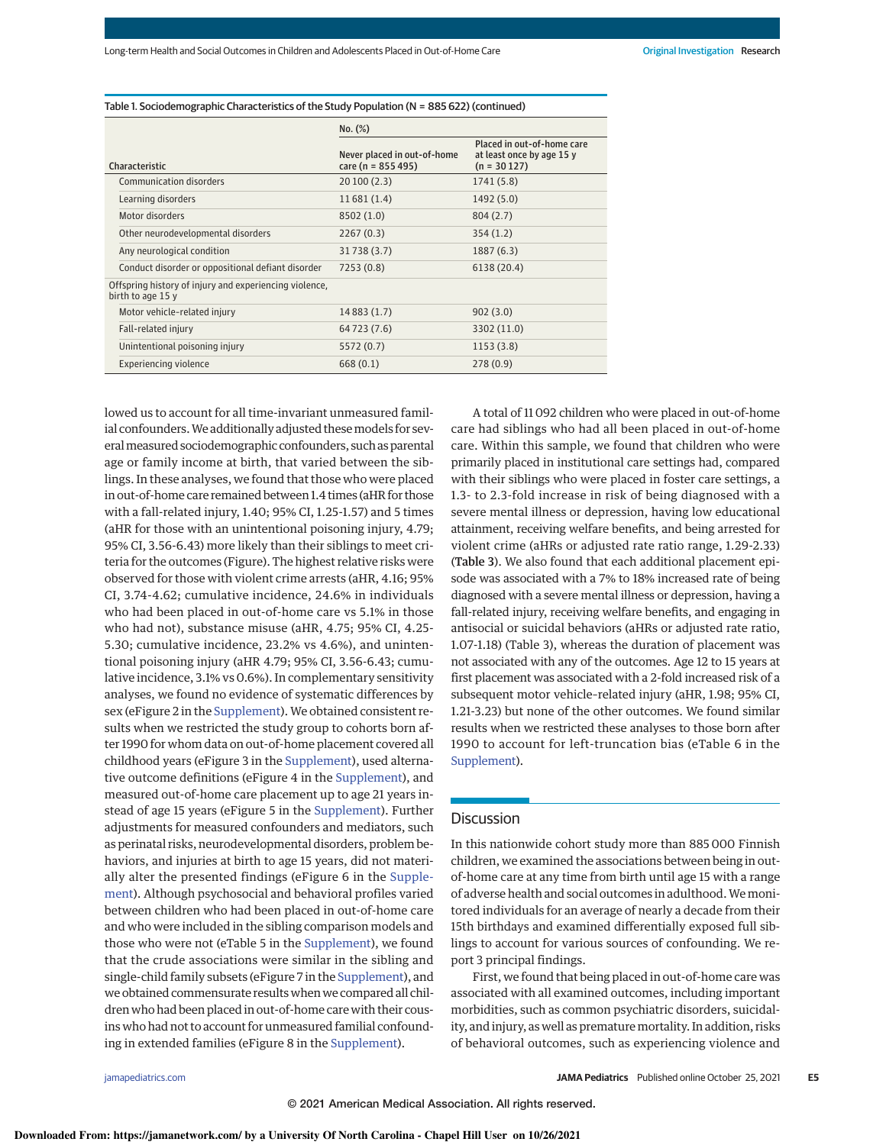|                                                                             | No. (%)                                              |                                                                          |  |  |
|-----------------------------------------------------------------------------|------------------------------------------------------|--------------------------------------------------------------------------|--|--|
| Characteristic                                                              | Never placed in out-of-home<br>care ( $n = 855495$ ) | Placed in out-of-home care<br>at least once by age 15 y<br>$(n = 30127)$ |  |  |
| Communication disorders                                                     | 20100(2.3)                                           | 1741 (5.8)                                                               |  |  |
| Learning disorders                                                          | 11681(1.4)                                           | 1492 (5.0)                                                               |  |  |
| Motor disorders                                                             | 8502 (1.0)                                           | 804 (2.7)                                                                |  |  |
| Other neurodevelopmental disorders                                          | 2267(0.3)                                            | 354 (1.2)                                                                |  |  |
| Any neurological condition                                                  | 31738 (3.7)                                          | 1887 (6.3)                                                               |  |  |
| Conduct disorder or oppositional defiant disorder                           | 7253 (0.8)                                           | 6138 (20.4)                                                              |  |  |
| Offspring history of injury and experiencing violence,<br>birth to age 15 y |                                                      |                                                                          |  |  |
| Motor vehicle-related injury                                                | 14 8 8 3 (1.7)                                       | 902(3.0)                                                                 |  |  |
| Fall-related injury                                                         | 64 7 2 3 ( 7 . 6 )                                   | 3302 (11.0)                                                              |  |  |
| Unintentional poisoning injury                                              | 5572 (0.7)                                           | 1153(3.8)                                                                |  |  |
| Experiencing violence                                                       | 668(0.1)                                             | 278(0.9)                                                                 |  |  |

Table 1. Sociodemographic Characteristics of the Study Population (N = 885 622) (continued)

lowed us to account for all time-invariant unmeasured familial confounders. We additionally adjusted these models for severalmeasured sociodemographic confounders, such as parental age or family income at birth, that varied between the siblings. In these analyses, we found that those who were placed in out-of-home care remained between 1.4 times (aHR for those with a fall-related injury, 1.40; 95% CI, 1.25-1.57) and 5 times (aHR for those with an unintentional poisoning injury, 4.79; 95% CI, 3.56-6.43) more likely than their siblings to meet criteria for the outcomes (Figure). The highest relative risks were observed for those with violent crime arrests (aHR, 4.16; 95% CI, 3.74-4.62; cumulative incidence, 24.6% in individuals who had been placed in out-of-home care vs 5.1% in those who had not), substance misuse (aHR, 4.75; 95% CI, 4.25- 5.30; cumulative incidence, 23.2% vs 4.6%), and unintentional poisoning injury (aHR 4.79; 95% CI, 3.56-6.43; cumulative incidence, 3.1% vs 0.6%). In complementary sensitivity analyses, we found no evidence of systematic differences by sex (eFigure 2 in the Supplement). We obtained consistent results when we restricted the study group to cohorts born after 1990 for whom data on out-of-home placement covered all childhood years (eFigure 3 in the Supplement), used alternative outcome definitions (eFigure 4 in the Supplement), and measured out-of-home care placement up to age 21 years instead of age 15 years (eFigure 5 in the Supplement). Further adjustments for measured confounders and mediators, such as perinatal risks, neurodevelopmental disorders, problem behaviors, and injuries at birth to age 15 years, did not materially alter the presented findings (eFigure 6 in the Supplement). Although psychosocial and behavioral profiles varied between children who had been placed in out-of-home care and who were included in the sibling comparison models and those who were not (eTable 5 in the Supplement), we found that the crude associations were similar in the sibling and single-child family subsets (eFigure 7 in the Supplement), and we obtained commensurate results when we compared all children who had been placed in out-of-home care with their cousins who had not to account for unmeasured familial confounding in extended families (eFigure 8 in the Supplement).

A total of 11 092 children who were placed in out-of-home care had siblings who had all been placed in out-of-home care. Within this sample, we found that children who were primarily placed in institutional care settings had, compared with their siblings who were placed in foster care settings, a 1.3- to 2.3-fold increase in risk of being diagnosed with a severe mental illness or depression, having low educational attainment, receiving welfare benefits, and being arrested for violent crime (aHRs or adjusted rate ratio range, 1.29-2.33) (Table 3). We also found that each additional placement episode was associated with a 7% to 18% increased rate of being diagnosed with a severe mental illness or depression, having a fall-related injury, receiving welfare benefits, and engaging in antisocial or suicidal behaviors (aHRs or adjusted rate ratio, 1.07-1.18) (Table 3), whereas the duration of placement was not associated with any of the outcomes. Age 12 to 15 years at first placement was associated with a 2-fold increased risk of a subsequent motor vehicle–related injury (aHR, 1.98; 95% CI, 1.21-3.23) but none of the other outcomes. We found similar results when we restricted these analyses to those born after 1990 to account for left-truncation bias (eTable 6 in the Supplement).

## **Discussion**

In this nationwide cohort study more than 885 000 Finnish children, we examined the associations between being in outof-home care at any time from birth until age 15 with a range of adverse health and social outcomes in adulthood.We monitored individuals for an average of nearly a decade from their 15th birthdays and examined differentially exposed full siblings to account for various sources of confounding. We report 3 principal findings.

First, we found that being placed in out-of-home care was associated with all examined outcomes, including important morbidities, such as common psychiatric disorders, suicidality, and injury, as well as premature mortality. In addition, risks of behavioral outcomes, such as experiencing violence and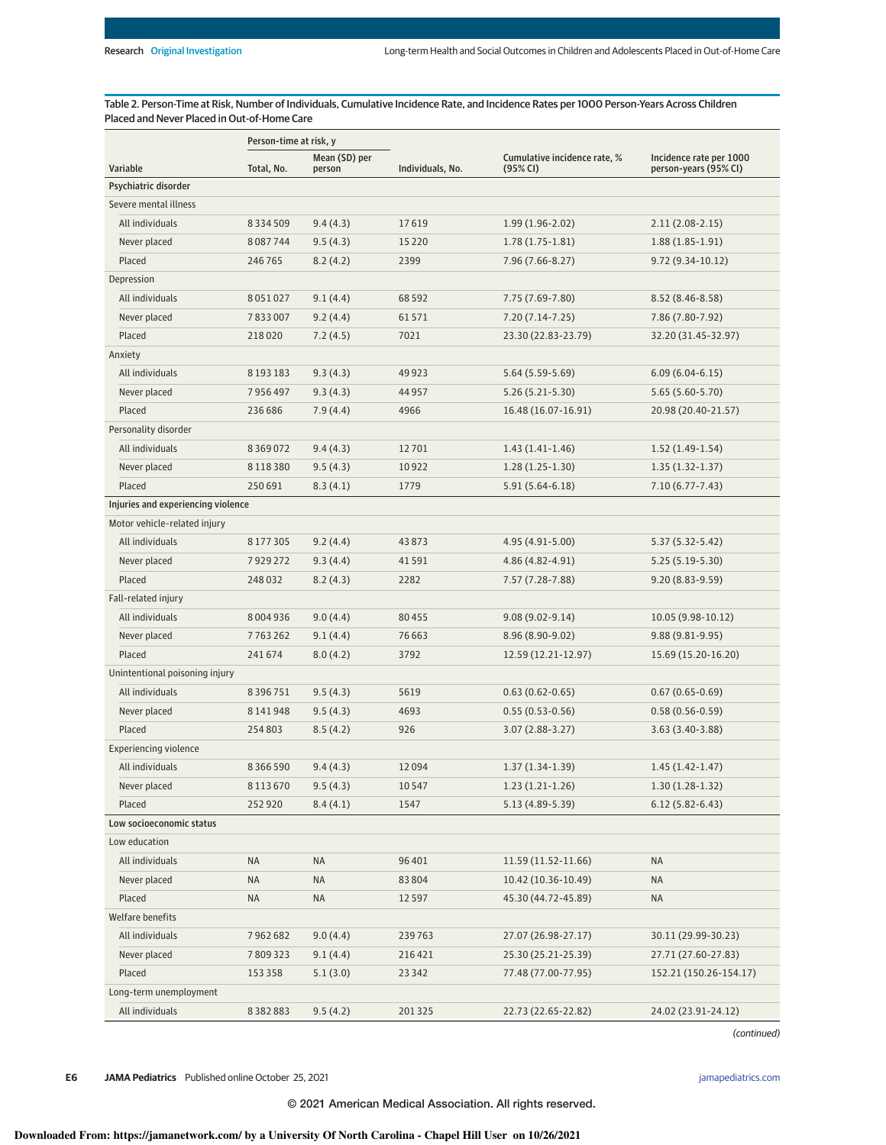Table 2. Person-Time at Risk, Number of Individuals, Cumulative Incidence Rate, and Incidence Rates per 1000 Person-Years Across Children Placed and Never Placed in Out-of-Home Care

|                                    | Person-time at risk, y |                         |                  |                                          |                                                  |
|------------------------------------|------------------------|-------------------------|------------------|------------------------------------------|--------------------------------------------------|
| Variable                           | Total, No.             | Mean (SD) per<br>person | Individuals, No. | Cumulative incidence rate, %<br>(95% CI) | Incidence rate per 1000<br>person-years (95% CI) |
| Psychiatric disorder               |                        |                         |                  |                                          |                                                  |
| Severe mental illness              |                        |                         |                  |                                          |                                                  |
| All individuals                    | 8334509                | 9.4(4.3)                | 17619            | $1.99(1.96 - 2.02)$                      | $2.11(2.08-2.15)$                                |
| Never placed                       | 8087744                | 9.5(4.3)                | 15220            | $1.78(1.75-1.81)$                        | $1.88(1.85-1.91)$                                |
| Placed                             | 246765                 | 8.2(4.2)                | 2399             | 7.96 (7.66-8.27)                         | $9.72(9.34-10.12)$                               |
| Depression                         |                        |                         |                  |                                          |                                                  |
| All individuals                    | 8051027                | 9.1(4.4)                | 68592            | 7.75 (7.69-7.80)                         | $8.52(8.46 - 8.58)$                              |
| Never placed                       | 7833007                | 9.2(4.4)                | 61571            | $7.20(7.14 - 7.25)$                      | 7.86 (7.80-7.92)                                 |
| Placed                             | 218020                 | 7.2(4.5)                | 7021             | 23.30 (22.83-23.79)                      | 32.20 (31.45-32.97)                              |
| Anxiety                            |                        |                         |                  |                                          |                                                  |
| All individuals                    | 8 1 9 3 1 8 3          | 9.3(4.3)                | 49923            | $5.64(5.59-5.69)$                        | $6.09(6.04-6.15)$                                |
| Never placed                       | 7956497                | 9.3(4.3)                | 44957            | $5.26(5.21 - 5.30)$                      | $5.65(5.60-5.70)$                                |
| Placed                             | 236 686                | 7.9(4.4)                | 4966             | 16.48 (16.07-16.91)                      | 20.98 (20.40-21.57)                              |
| Personality disorder               |                        |                         |                  |                                          |                                                  |
| All individuals                    | 8369072                | 9.4(4.3)                | 12701            | $1.43(1.41-1.46)$                        | $1.52(1.49-1.54)$                                |
| Never placed                       | 8118380                | 9.5(4.3)                | 10922            | $1.28(1.25-1.30)$                        | $1.35(1.32 - 1.37)$                              |
| Placed                             | 250 691                | 8.3(4.1)                | 1779             | 5.91 (5.64-6.18)                         | $7.10(6.77 - 7.43)$                              |
| Injuries and experiencing violence |                        |                         |                  |                                          |                                                  |
| Motor vehicle-related injury       |                        |                         |                  |                                          |                                                  |
| All individuals                    | 8177305                | 9.2(4.4)                | 43873            | 4.95 (4.91-5.00)                         | $5.37(5.32 - 5.42)$                              |
| Never placed                       | 7929272                | 9.3(4.4)                | 41591            | 4.86 (4.82-4.91)                         | $5.25(5.19-5.30)$                                |
| Placed                             | 248032                 | 8.2(4.3)                | 2282             | 7.57 (7.28-7.88)                         | $9.20(8.83-9.59)$                                |
| Fall-related injury                |                        |                         |                  |                                          |                                                  |
| All individuals                    | 8004936                | 9.0(4.4)                | 80455            | $9.08(9.02 - 9.14)$                      | 10.05 (9.98-10.12)                               |
| Never placed                       | 7763262                | 9.1(4.4)                | 76663            | 8.96 (8.90-9.02)                         | $9.88(9.81 - 9.95)$                              |
| Placed                             | 241674                 | 8.0(4.2)                | 3792             | 12.59 (12.21-12.97)                      | 15.69 (15.20-16.20)                              |
| Unintentional poisoning injury     |                        |                         |                  |                                          |                                                  |
| All individuals                    | 8396751                | 9.5(4.3)                | 5619             | $0.63(0.62 - 0.65)$                      | $0.67(0.65 - 0.69)$                              |
| Never placed                       | 8141948                | 9.5(4.3)                | 4693             | $0.55(0.53 - 0.56)$                      | $0.58(0.56 - 0.59)$                              |
| Placed                             | 254803                 | 8.5(4.2)                | 926              | $3.07(2.88-3.27)$                        | $3.63(3.40-3.88)$                                |
| <b>Experiencing violence</b>       |                        |                         |                  |                                          |                                                  |
| All individuals                    | 8366590                | 9.4(4.3)                | 12094            | $1.37(1.34-1.39)$                        | $1.45(1.42-1.47)$                                |
| Never placed                       | 8113670                | 9.5(4.3)                | 10547            | $1.23(1.21-1.26)$                        | $1.30(1.28-1.32)$                                |
| Placed                             | 252920                 | 8.4(4.1)                | 1547             | 5.13 (4.89-5.39)                         | $6.12(5.82 - 6.43)$                              |
| Low socioeconomic status           |                        |                         |                  |                                          |                                                  |
| Low education                      |                        |                         |                  |                                          |                                                  |
| All individuals                    | <b>NA</b>              | NA                      | 96401            | 11.59 (11.52-11.66)                      | <b>NA</b>                                        |
| Never placed                       | ΝA                     | NA                      | 83804            | 10.42 (10.36-10.49)                      | NA                                               |
| Placed                             | ΝA                     | NA                      | 12597            | 45.30 (44.72-45.89)                      | NA                                               |
| Welfare benefits                   |                        |                         |                  |                                          |                                                  |
| All individuals                    | 7962682                | 9.0(4.4)                | 239763           | 27.07 (26.98-27.17)                      | 30.11 (29.99-30.23)                              |
| Never placed                       | 7809323                | 9.1(4.4)                | 216421           | 25.30 (25.21-25.39)                      | 27.71 (27.60-27.83)                              |
| Placed                             | 153 358                | 5.1(3.0)                | 23 3 4 2         | 77.48 (77.00-77.95)                      | 152.21 (150.26-154.17)                           |
| Long-term unemployment             |                        |                         |                  |                                          |                                                  |
| All individuals                    | 8382883                | 9.5(4.2)                | 201325           | 22.73 (22.65-22.82)                      | 24.02 (23.91-24.12)                              |

(continued)

**E6 JAMA Pediatrics** Published online October 25, 2021 **(Reprinted)** in the printed online of the printed online of the printed online of the printed online of the printed online of the printed online of the printed online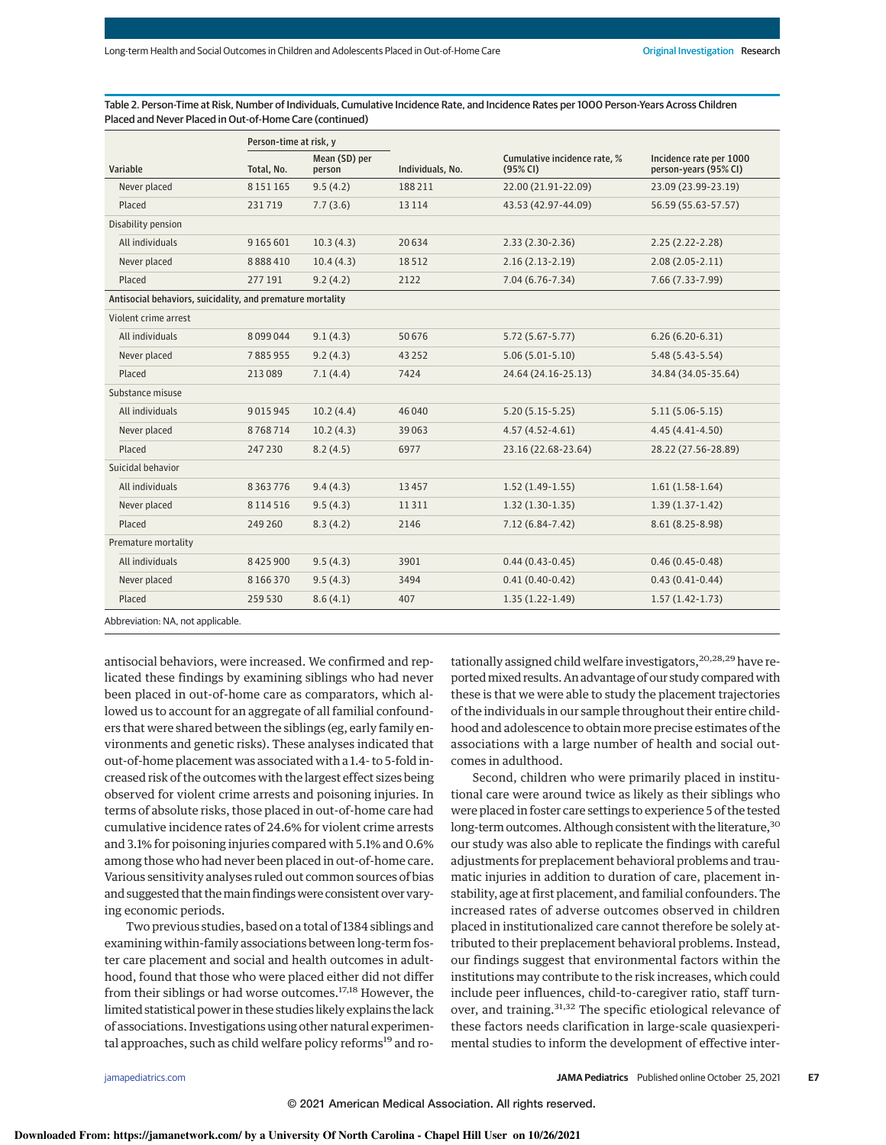Table 2. Person-Time at Risk, Number of Individuals, Cumulative Incidence Rate, and Incidence Rates per 1000 Person-Years Across Children Placed and Never Placed in Out-of-Home Care (continued)

| Person-time at risk, y                                     |               |                         |                  |                                          |                                                  |
|------------------------------------------------------------|---------------|-------------------------|------------------|------------------------------------------|--------------------------------------------------|
| Variable                                                   | Total, No.    | Mean (SD) per<br>person | Individuals, No. | Cumulative incidence rate, %<br>(95% CI) | Incidence rate per 1000<br>person-years (95% CI) |
| Never placed                                               | 8 1 5 1 1 6 5 | 9.5(4.2)                | 188 211          | 22.00 (21.91-22.09)                      | 23.09 (23.99-23.19)                              |
| Placed                                                     | 231719        | 7.7(3.6)                | 13114            | 43.53 (42.97-44.09)                      | 56.59 (55.63-57.57)                              |
| Disability pension                                         |               |                         |                  |                                          |                                                  |
| All individuals                                            | 9165601       | 10.3(4.3)               | 20634            | $2.33(2.30-2.36)$                        | $2.25(2.22-2.28)$                                |
| Never placed                                               | 8888410       | 10.4(4.3)               | 18512            | $2.16(2.13-2.19)$                        | $2.08(2.05 - 2.11)$                              |
| Placed                                                     | 277 191       | 9.2(4.2)                | 2122             | $7.04(6.76 - 7.34)$                      | 7.66 (7.33-7.99)                                 |
| Antisocial behaviors, suicidality, and premature mortality |               |                         |                  |                                          |                                                  |
| Violent crime arrest                                       |               |                         |                  |                                          |                                                  |
| All individuals                                            | 8099044       | 9.1(4.3)                | 50676            | $5.72(5.67 - 5.77)$                      | $6.26(6.20-6.31)$                                |
| Never placed                                               | 7885955       | 9.2(4.3)                | 43252            | $5.06(5.01 - 5.10)$                      | $5.48(5.43 - 5.54)$                              |
| Placed                                                     | 213089        | 7.1(4.4)                | 7424             | 24.64 (24.16-25.13)                      | 34.84 (34.05-35.64)                              |
| Substance misuse                                           |               |                         |                  |                                          |                                                  |
| All individuals                                            | 9015945       | 10.2(4.4)               | 46 040           | $5.20(5.15-5.25)$                        | $5.11(5.06-5.15)$                                |
| Never placed                                               | 8768714       | 10.2(4.3)               | 39063            | $4.57(4.52 - 4.61)$                      | $4.45(4.41 - 4.50)$                              |
| Placed                                                     | 247 230       | 8.2(4.5)                | 6977             | 23.16 (22.68-23.64)                      | 28.22 (27.56-28.89)                              |
| Suicidal behavior                                          |               |                         |                  |                                          |                                                  |
| All individuals                                            | 8363776       | 9.4(4.3)                | 13457            | $1.52(1.49-1.55)$                        | $1.61(1.58-1.64)$                                |
| Never placed                                               | 8114516       | 9.5(4.3)                | 11311            | $1.32(1.30-1.35)$                        | $1.39(1.37-1.42)$                                |
| Placed                                                     | 249 260       | 8.3(4.2)                | 2146             | $7.12(6.84 - 7.42)$                      | $8.61(8.25-8.98)$                                |
| Premature mortality                                        |               |                         |                  |                                          |                                                  |
| All individuals                                            | 8425900       | 9.5(4.3)                | 3901             | $0.44(0.43-0.45)$                        | $0.46(0.45-0.48)$                                |
| Never placed                                               | 8166370       | 9.5(4.3)                | 3494             | $0.41(0.40-0.42)$                        | $0.43(0.41-0.44)$                                |
| Placed                                                     | 259 530       | 8.6(4.1)                | 407              | $1.35(1.22 - 1.49)$                      | $1.57(1.42-1.73)$                                |
|                                                            |               |                         |                  |                                          |                                                  |

Abbreviation: NA, not applicable.

antisocial behaviors, were increased. We confirmed and replicated these findings by examining siblings who had never been placed in out-of-home care as comparators, which allowed us to account for an aggregate of all familial confounders that were shared between the siblings (eg, early family environments and genetic risks). These analyses indicated that out-of-home placement was associated with a 1.4- to 5-fold increased risk of the outcomes with the largest effect sizes being observed for violent crime arrests and poisoning injuries. In terms of absolute risks, those placed in out-of-home care had cumulative incidence rates of 24.6% for violent crime arrests and 3.1% for poisoning injuries compared with 5.1% and 0.6% among those who had never been placed in out-of-home care. Various sensitivity analyses ruled out common sources of bias and suggested that the main findings were consistent over varying economic periods.

Two previous studies, based on a total of 1384 siblings and examining within-family associations between long-term foster care placement and social and health outcomes in adulthood, found that those who were placed either did not differ from their siblings or had worse outcomes.<sup>17,18</sup> However, the limited statistical power in these studies likely explains the lack of associations. Investigations using other natural experimental approaches, such as child welfare policy reforms<sup>19</sup> and ro-

tationally assigned child welfare investigators,<sup>20,28,29</sup> have reportedmixed results. An advantage of our study comparedwith these is that we were able to study the placement trajectories of the individuals in our sample throughout their entire childhood and adolescence to obtain more precise estimates of the associations with a large number of health and social outcomes in adulthood.

Second, children who were primarily placed in institutional care were around twice as likely as their siblings who were placed in foster care settings to experience 5 of the tested long-term outcomes. Although consistent with the literature,<sup>30</sup> our study was also able to replicate the findings with careful adjustments for preplacement behavioral problems and traumatic injuries in addition to duration of care, placement instability, age at first placement, and familial confounders. The increased rates of adverse outcomes observed in children placed in institutionalized care cannot therefore be solely attributed to their preplacement behavioral problems. Instead, our findings suggest that environmental factors within the institutions may contribute to the risk increases, which could include peer influences, child-to-caregiver ratio, staff turnover, and training.<sup>31,32</sup> The specific etiological relevance of these factors needs clarification in large-scale quasiexperimental studies to inform the development of effective inter-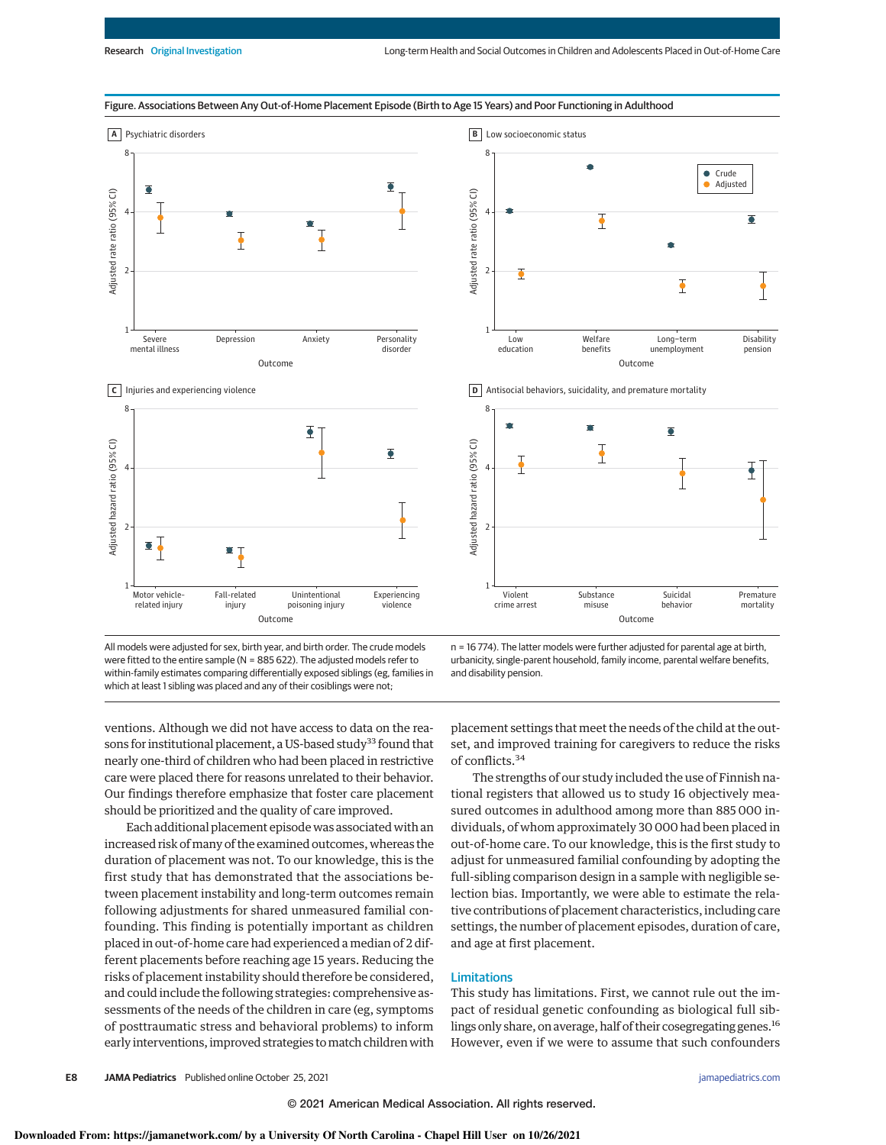

Figure. Associations Between Any Out-of-Home Placement Episode (Birth to Age 15 Years) and Poor Functioning in Adulthood

All models were adjusted for sex, birth year, and birth order. The crude models were fitted to the entire sample (N = 885 622). The adjusted models refer to within-family estimates comparing differentially exposed siblings (eg, families in which at least 1 sibling was placed and any of their cosiblings were not;

n = 16 774). The latter models were further adjusted for parental age at birth, urbanicity, single-parent household, family income, parental welfare benefits, and disability pension.

ventions. Although we did not have access to data on the reasons for institutional placement, a US-based study<sup>33</sup> found that nearly one-third of children who had been placed in restrictive care were placed there for reasons unrelated to their behavior. Our findings therefore emphasize that foster care placement should be prioritized and the quality of care improved.

Each additional placement episode was associated with an increased risk of many of the examined outcomes, whereas the duration of placement was not. To our knowledge, this is the first study that has demonstrated that the associations between placement instability and long-term outcomes remain following adjustments for shared unmeasured familial confounding. This finding is potentially important as children placed in out-of-home care had experienced a median of 2 different placements before reaching age 15 years. Reducing the risks of placement instability should therefore be considered, and could include the following strategies: comprehensive assessments of the needs of the children in care (eg, symptoms of posttraumatic stress and behavioral problems) to inform early interventions, improved strategies tomatch children with placement settings that meet the needs of the child at the outset, and improved training for caregivers to reduce the risks of conflicts.<sup>34</sup>

The strengths of our study included the use of Finnish national registers that allowed us to study 16 objectively measured outcomes in adulthood among more than 885 000 individuals, of whom approximately 30 000 had been placed in out-of-home care. To our knowledge, this is the first study to adjust for unmeasured familial confounding by adopting the full-sibling comparison design in a sample with negligible selection bias. Importantly, we were able to estimate the relative contributions of placement characteristics, including care settings, the number of placement episodes, duration of care, and age at first placement.

#### Limitations

This study has limitations. First, we cannot rule out the impact of residual genetic confounding as biological full siblings only share, on average, half of their cosegregating genes.<sup>16</sup> However, even if we were to assume that such confounders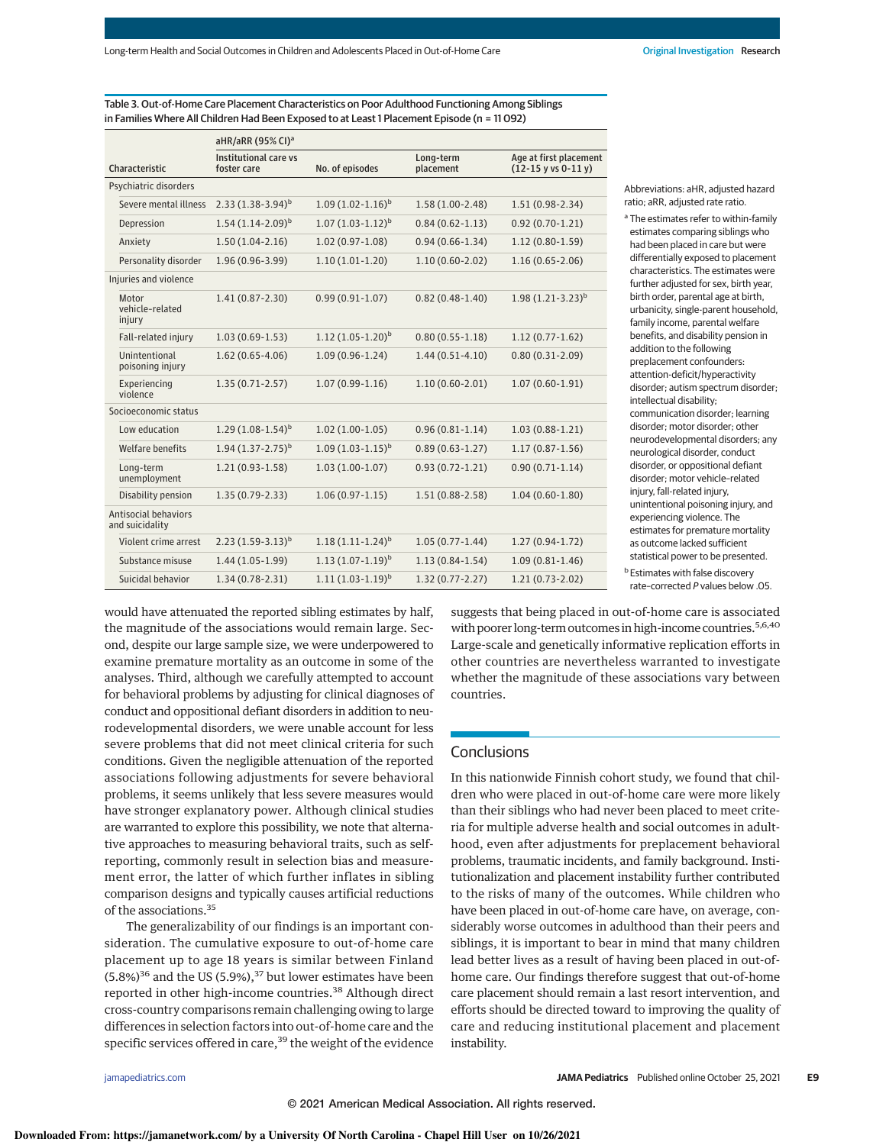Table 3. Out-of-Home Care Placement Characteristics on Poor Adulthood Functioning Among Siblings in Families Where All Children Had Been Exposed to at Least 1 Placement Episode (n = 11 092)

|                                                | aHR/aRR (95% CI) <sup>a</sup>        |                         |                        |                                                                  |  |  |
|------------------------------------------------|--------------------------------------|-------------------------|------------------------|------------------------------------------------------------------|--|--|
| Characteristic                                 | Institutional care vs<br>foster care | No. of episodes         | Long-term<br>placement | Age at first placement<br>$(12-15 \text{ y vs } 0-11 \text{ y})$ |  |  |
| Psychiatric disorders                          |                                      |                         |                        |                                                                  |  |  |
| Severe mental illness                          | $2.33(1.38-3.94)^{b}$                | $1.09(1.02 - 1.16)^{b}$ | $1.58(1.00-2.48)$      | $1.51(0.98-2.34)$                                                |  |  |
| Depression                                     | $1.54(1.14-2.09)^{b}$                | $1.07(1.03-1.12)^{b}$   | $0.84(0.62 - 1.13)$    | $0.92(0.70-1.21)$                                                |  |  |
| Anxiety                                        | $1.50(1.04-2.16)$                    | $1.02(0.97-1.08)$       | $0.94(0.66 - 1.34)$    | $1.12(0.80-1.59)$                                                |  |  |
| Personality disorder                           | $1.96(0.96 - 3.99)$                  | $1.10(1.01-1.20)$       | $1.10(0.60 - 2.02)$    | $1.16(0.65-2.06)$                                                |  |  |
| Injuries and violence                          |                                      |                         |                        |                                                                  |  |  |
| Motor<br>vehicle-related<br>injury             | $1.41(0.87 - 2.30)$                  | $0.99(0.91-1.07)$       | $0.82(0.48-1.40)$      | $1.98(1.21-3.23)^{b}$                                            |  |  |
| Fall-related injury                            | $1.03(0.69-1.53)$                    | $1.12(1.05-1.20)^{b}$   | $0.80(0.55 - 1.18)$    | $1.12(0.77-1.62)$                                                |  |  |
| Unintentional<br>poisoning injury              | $1.62(0.65 - 4.06)$                  | $1.09(0.96 - 1.24)$     | $1.44(0.51 - 4.10)$    | $0.80(0.31-2.09)$                                                |  |  |
| Experiencing<br>violence                       | $1.35(0.71 - 2.57)$                  | $1.07(0.99-1.16)$       | $1.10(0.60 - 2.01)$    | $1.07(0.60-1.91)$                                                |  |  |
| Socioeconomic status                           |                                      |                         |                        |                                                                  |  |  |
| Low education                                  | $1.29(1.08-1.54)^{b}$                | $1.02(1.00-1.05)$       | $0.96(0.81 - 1.14)$    | $1.03(0.88-1.21)$                                                |  |  |
| Welfare benefits                               | $1.94(1.37 - 2.75)^{b}$              | $1.09(1.03-1.15)^{b}$   | $0.89(0.63 - 1.27)$    | $1.17(0.87 - 1.56)$                                              |  |  |
| Long-term<br>unemployment                      | $1.21(0.93-1.58)$                    | $1.03(1.00-1.07)$       | $0.93(0.72 - 1.21)$    | $0.90(0.71-1.14)$                                                |  |  |
| Disability pension                             | $1.35(0.79-2.33)$                    | $1.06(0.97-1.15)$       | $1.51(0.88 - 2.58)$    | $1.04(0.60-1.80)$                                                |  |  |
| <b>Antisocial behaviors</b><br>and suicidality |                                      |                         |                        |                                                                  |  |  |
| Violent crime arrest                           | $2.23(1.59-3.13)^{b}$                | $1.18(1.11-1.24)^{b}$   | $1.05(0.77 - 1.44)$    | $1.27(0.94-1.72)$                                                |  |  |
| Substance misuse                               | $1.44(1.05-1.99)$                    | $1.13(1.07-1.19)^{b}$   | $1.13(0.84-1.54)$      | $1.09(0.81 - 1.46)$                                              |  |  |
| Suicidal behavior                              | $1.34(0.78-2.31)$                    | $1.11(1.03-1.19)^b$     | $1.32(0.77 - 2.27)$    | $1.21(0.73-2.02)$                                                |  |  |

Abbreviations: aHR, adjusted hazard ratio; aRR, adjusted rate ratio.

<sup>a</sup> The estimates refer to within-family estimates comparing siblings who had been placed in care but were differentially exposed to placement characteristics. The estimates were further adjusted for sex, birth year, birth order, parental age at birth, urbanicity, single-parent household, family income, parental welfare benefits, and disability pension in addition to the following preplacement confounders: attention-deficit/hyperactivity disorder; autism spectrum disorder; intellectual disability; communication disorder; learning disorder: motor disorder: other neurodevelopmental disorders; any neurological disorder, conduct disorder, or oppositional defiant disorder; motor vehicle–related injury, fall-related injury, unintentional poisoning injury, and experiencing violence. The estimates for premature mortality as outcome lacked sufficient statistical power to be presented. **b** Estimates with false discovery rate–corrected P values below .05.

would have attenuated the reported sibling estimates by half, the magnitude of the associations would remain large. Second, despite our large sample size, we were underpowered to examine premature mortality as an outcome in some of the analyses. Third, although we carefully attempted to account for behavioral problems by adjusting for clinical diagnoses of conduct and oppositional defiant disorders in addition to neurodevelopmental disorders, we were unable account for less severe problems that did not meet clinical criteria for such conditions. Given the negligible attenuation of the reported associations following adjustments for severe behavioral problems, it seems unlikely that less severe measures would have stronger explanatory power. Although clinical studies are warranted to explore this possibility, we note that alternative approaches to measuring behavioral traits, such as selfreporting, commonly result in selection bias and measurement error, the latter of which further inflates in sibling comparison designs and typically causes artificial reductions of the associations.<sup>35</sup>

The generalizability of our findings is an important consideration. The cumulative exposure to out-of-home care placement up to age 18 years is similar between Finland  $(5.8%)^{36}$  and the US (5.9%),<sup>37</sup> but lower estimates have been reported in other high-income countries.<sup>38</sup> Although direct cross-country comparisons remain challenging owing to large differences in selection factors into out-of-home care and the specific services offered in care,<sup>39</sup> the weight of the evidence

suggests that being placed in out-of-home care is associated with poorer long-term outcomes in high-income countries.<sup>5,6,40</sup> Large-scale and genetically informative replication efforts in other countries are nevertheless warranted to investigate whether the magnitude of these associations vary between countries.

# **Conclusions**

In this nationwide Finnish cohort study, we found that children who were placed in out-of-home care were more likely than their siblings who had never been placed to meet criteria for multiple adverse health and social outcomes in adulthood, even after adjustments for preplacement behavioral problems, traumatic incidents, and family background. Institutionalization and placement instability further contributed to the risks of many of the outcomes. While children who have been placed in out-of-home care have, on average, considerably worse outcomes in adulthood than their peers and siblings, it is important to bear in mind that many children lead better lives as a result of having been placed in out-ofhome care. Our findings therefore suggest that out-of-home care placement should remain a last resort intervention, and efforts should be directed toward to improving the quality of care and reducing institutional placement and placement instability.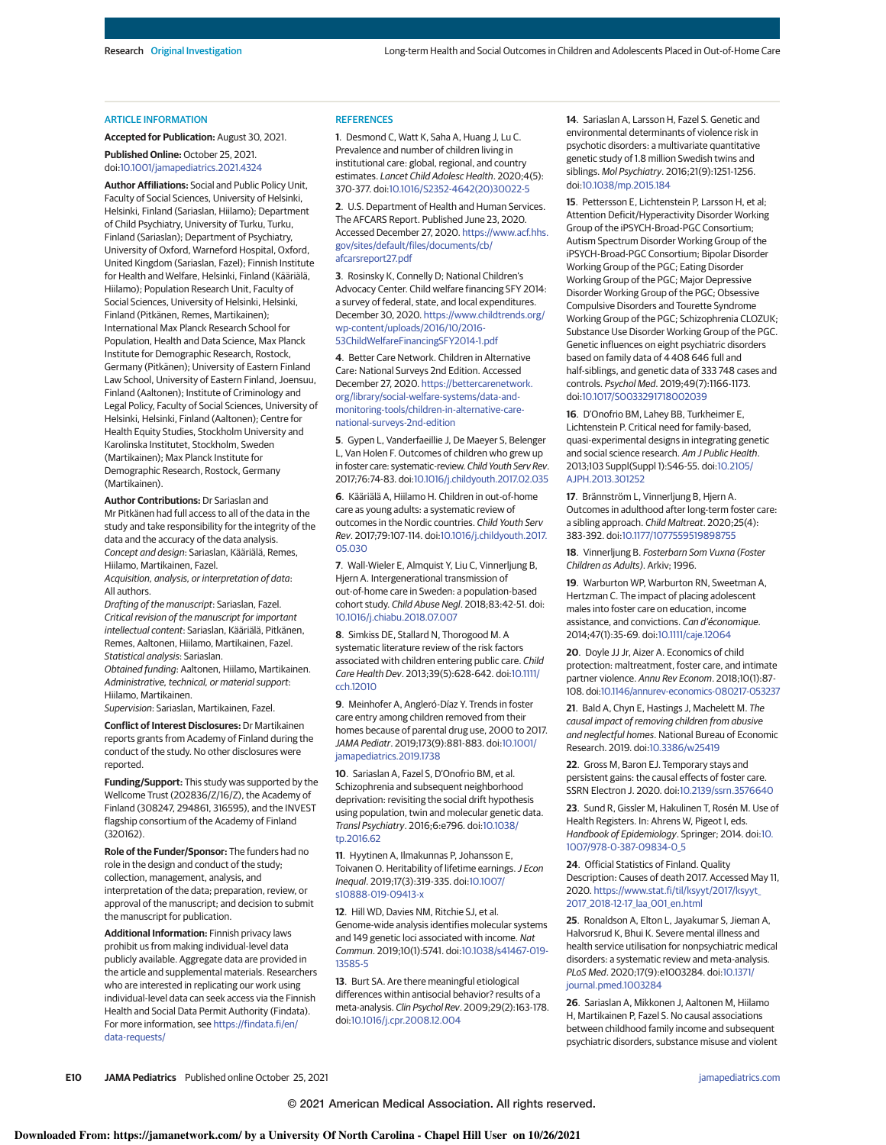#### ARTICLE INFORMATION

**Accepted for Publication:** August 30, 2021. **Published Online:** October 25, 2021. doi:10.1001/jamapediatrics.2021.4324

**Author Affiliations:** Social and Public Policy Unit, Faculty of Social Sciences, University of Helsinki, Helsinki, Finland (Sariaslan, Hiilamo); Department of Child Psychiatry, University of Turku, Turku, Finland (Sariaslan); Department of Psychiatry, University of Oxford, Warneford Hospital, Oxford, United Kingdom (Sariaslan, Fazel); Finnish Institute for Health and Welfare, Helsinki, Finland (Kääriälä, Hiilamo); Population Research Unit, Faculty of Social Sciences, University of Helsinki, Helsinki, Finland (Pitkänen, Remes, Martikainen); International Max Planck Research School for Population, Health and Data Science, Max Planck Institute for Demographic Research, Rostock, Germany (Pitkänen); University of Eastern Finland Law School, University of Eastern Finland, Joensuu, Finland (Aaltonen); Institute of Criminology and Legal Policy, Faculty of Social Sciences, University of Helsinki, Helsinki, Finland (Aaltonen); Centre for Health Equity Studies, Stockholm University and Karolinska Institutet, Stockholm, Sweden (Martikainen); Max Planck Institute for Demographic Research, Rostock, Germany (Martikainen).

**Author Contributions:** Dr Sariaslan and Mr Pitkänen had full access to all of the data in the study and take responsibility for the integrity of the data and the accuracy of the data analysis. Concept and design: Sariaslan, Kääriälä, Remes, Hiilamo, Martikainen, Fazel.

Acquisition, analysis, or interpretation of data: All authors.

Drafting of the manuscript: Sariaslan, Fazel. Critical revision of the manuscript for important intellectual content: Sariaslan, Kääriälä, Pitkänen, Remes, Aaltonen, Hiilamo, Martikainen, Fazel. Statistical analysis: Sariaslan.

Obtained funding: Aaltonen, Hiilamo, Martikainen. Administrative, technical, or material support: Hiilamo, Martikainen.

Supervision: Sariaslan, Martikainen, Fazel.

**Conflict of Interest Disclosures:** Dr Martikainen reports grants from Academy of Finland during the conduct of the study. No other disclosures were reported.

**Funding/Support:** This study was supported by the Wellcome Trust (202836/Z/16/Z), the Academy of Finland (308247, 294861, 316595), and the INVEST flagship consortium of the Academy of Finland (320162).

**Role of the Funder/Sponsor:** The funders had no role in the design and conduct of the study; collection, management, analysis, and interpretation of the data; preparation, review, or approval of the manuscript; and decision to submit the manuscript for publication.

**Additional Information:** Finnish privacy laws prohibit us from making individual-level data publicly available. Aggregate data are provided in the article and supplemental materials. Researchers who are interested in replicating our work using individual-level data can seek access via the Finnish Health and Social Data Permit Authority (Findata). For more information, see https://findata.fi/en/ data-requests/

#### **REFERENCES**

**1**. Desmond C, Watt K, Saha A, Huang J, Lu C. Prevalence and number of children living in institutional care: global, regional, and country estimates. Lancet Child Adolesc Health. 2020;4(5): 370-377. doi:10.1016/S2352-4642(20)30022-5

**2**. U.S. Department of Health and Human Services. The AFCARS Report. Published June 23, 2020. Accessed December 27, 2020. https://www.acf.hhs. gov/sites/default/files/documents/cb/ afcarsreport27.pdf

**3**. Rosinsky K, Connelly D; National Children's Advocacy Center. Child welfare financing SFY 2014: a survey of federal, state, and local expenditures. December 30, 2020. https://www.childtrends.org/ wp-content/uploads/2016/10/2016- 53ChildWelfareFinancingSFY2014-1.pdf

**4**. Better Care Network. Children in Alternative Care: National Surveys 2nd Edition. Accessed December 27, 2020. https://bettercarenetwork. org/library/social-welfare-systems/data-andmonitoring-tools/children-in-alternative-carenational-surveys-2nd-edition

**5**. Gypen L, Vanderfaeillie J, De Maeyer S, Belenger L, Van Holen F. Outcomes of children who grew up in foster care: systematic-review. Child Youth Serv Rev. 2017;76:74-83. doi:10.1016/j.childyouth.2017.02.035

**6**. Kääriälä A, Hiilamo H. Children in out-of-home care as young adults: a systematic review of outcomes in the Nordic countries. Child Youth Serv Rev. 2017;79:107-114. doi:10.1016/j.childyouth.2017. 05.030

**7**. Wall-Wieler E, Almquist Y, Liu C, Vinnerljung B, Hjern A. Intergenerational transmission of out-of-home care in Sweden: a population-based cohort study. Child Abuse Negl. 2018;83:42-51. doi: 10.1016/j.chiabu.2018.07.007

**8**. Simkiss DE, Stallard N, Thorogood M. A systematic literature review of the risk factors associated with children entering public care. Child Care Health Dev. 2013;39(5):628-642. doi:10.1111/ cch.12010

**9**. Meinhofer A, Angleró-Díaz Y. Trends in foster care entry among children removed from their homes because of parental drug use, 2000 to 2017. JAMA Pediatr. 2019;173(9):881-883. doi:10.1001/ jamapediatrics.2019.1738

**10**. Sariaslan A, Fazel S, D'Onofrio BM, et al. Schizophrenia and subsequent neighborhood deprivation: revisiting the social drift hypothesis using population, twin and molecular genetic data. Transl Psychiatry. 2016;6:e796. doi:10.1038/ tp.2016.62

**11**. Hyytinen A, Ilmakunnas P, Johansson E, Toivanen O. Heritability of lifetime earnings. J Econ Inequal. 2019;17(3):319-335. doi:10.1007/ s10888-019-09413-x

**12**. Hill WD, Davies NM, Ritchie SJ, et al. Genome-wide analysis identifies molecular systems and 149 genetic loci associated with income. Nat Commun. 2019;10(1):5741. doi:10.1038/s41467-019- 13585-5

**13**. Burt SA. Are there meaningful etiological differences within antisocial behavior? results of a meta-analysis. Clin Psychol Rev. 2009;29(2):163-178. doi:10.1016/j.cpr.2008.12.004

**14**. Sariaslan A, Larsson H, Fazel S. Genetic and environmental determinants of violence risk in psychotic disorders: a multivariate quantitative genetic study of 1.8 million Swedish twins and siblings. Mol Psychiatry. 2016;21(9):1251-1256. doi:10.1038/mp.2015.184

**15**. Pettersson E, Lichtenstein P, Larsson H, et al; Attention Deficit/Hyperactivity Disorder Working Group of the iPSYCH-Broad-PGC Consortium; Autism Spectrum Disorder Working Group of the iPSYCH-Broad-PGC Consortium; Bipolar Disorder Working Group of the PGC; Eating Disorder Working Group of the PGC; Major Depressive Disorder Working Group of the PGC; Obsessive Compulsive Disorders and Tourette Syndrome Working Group of the PGC; Schizophrenia CLOZUK; Substance Use Disorder Working Group of the PGC. Genetic influences on eight psychiatric disorders based on family data of 4 408 646 full and half-siblings, and genetic data of 333 748 cases and controls. Psychol Med. 2019;49(7):1166-1173. doi:10.1017/S0033291718002039

**16**. D'Onofrio BM, Lahey BB, Turkheimer E, Lichtenstein P. Critical need for family-based, quasi-experimental designs in integrating genetic and social science research. Am J Public Health. 2013;103 Suppl(Suppl 1):S46-55. doi:10.2105/ AJPH.2013.301252

**17**. Brännström L, Vinnerljung B, Hjern A. Outcomes in adulthood after long-term foster care: a sibling approach. Child Maltreat. 2020;25(4): 383-392. doi:10.1177/1077559519898755

**18**. Vinnerljung B. Fosterbarn Som Vuxna (Foster Children as Adults). Arkiv; 1996.

**19**. Warburton WP, Warburton RN, Sweetman A, Hertzman C. The impact of placing adolescent males into foster care on education, income assistance, and convictions. Can d'économique. 2014;47(1):35-69. doi:10.1111/caje.12064

**20**. Doyle JJ Jr, Aizer A. Economics of child protection: maltreatment, foster care, and intimate partner violence. Annu Rev Econom. 2018;10(1):87- 108. doi:10.1146/annurev-economics-080217-053237

**21**. Bald A, Chyn E, Hastings J, Machelett M. The causal impact of removing children from abusive and neglectful homes. National Bureau of Economic Research. 2019. doi:10.3386/w25419

**22**. Gross M, Baron EJ. Temporary stays and persistent gains: the causal effects of foster care. SSRN Electron J. 2020. doi:10.2139/ssrn.3576640

**23**. Sund R, Gissler M, Hakulinen T, Rosén M. Use of Health Registers. In: Ahrens W, Pigeot I, eds. Handbook of Epidemiology. Springer; 2014. doi:10. 1007/978-0-387-09834-0\_5

**24**. Official Statistics of Finland. Quality Description: Causes of death 2017. Accessed May 11, 2020. https://www.stat.fi/til/ksyyt/2017/ksyyt\_ 2017\_2018-12-17\_laa\_001\_en.html

**25**. Ronaldson A, Elton L, Jayakumar S, Jieman A, Halvorsrud K, Bhui K. Severe mental illness and health service utilisation for nonpsychiatric medical disorders: a systematic review and meta-analysis. PLoS Med. 2020;17(9):e1003284. doi:10.1371/ journal.pmed.1003284

**26**. Sariaslan A, Mikkonen J, Aaltonen M, Hiilamo H, Martikainen P, Fazel S. No causal associations between childhood family income and subsequent psychiatric disorders, substance misuse and violent

**E10 JAMA Pediatrics** Published online October 25, 2021 **(Reprinted)** jamapediatrics.com